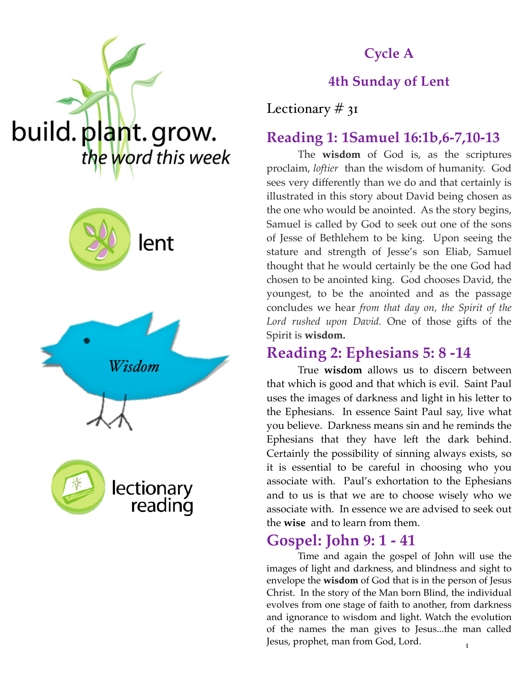



Lectionary  $\#$  31

The **wisdom** of God is, as the scriptures proclaim, *loftier* than the wisdom of humanity. God sees very differently than we do and that certainly is illustrated in this story about David being chosen as the one who would be anointed. As the story begins, Samuel is called by God to seek out one of the sons of Jesse of Bethlehem to be king. Upon seeing the stature and strength of Jesse's son Eliab, Samuel thought that he would certainly be the one God had chosen to be anointed king. God chooses David, the youngest, to be the anointed and as the passage concludes we hear *from that day on, the Spirit of the Lord rushed upon David.* One of those gifts of the Spirit is **wisdom.**

**Cycle A**

**4th Sunday of Lent**

### **Reading 2: Ephesians 5: 8 -14**

True **wisdom** allows us to discern between that which is good and that which is evil. Saint Paul uses the images of darkness and light in his letter to the Ephesians. In essence Saint Paul say, live what you believe. Darkness means sin and he reminds the Ephesians that they have left the dark behind. Certainly the possibility of sinning always exists, so it is essential to be careful in choosing who you associate with. Paul's exhortation to the Ephesians and to us is that we are to choose wisely who we associate with. In essence we are advised to seek out the **wise** and to learn from them.

### **Gospel: John 9: 1 - 41**

Time and again the gospel of John will use the images of light and darkness, and blindness and sight to envelope the **wisdom** of God that is in the person of Jesus Christ. In the story of the Man born Blind, the individual evolves from one stage of faith to another, from darkness and ignorance to wisdom and light. Watch the evolution of the names the man gives to Jesus...the man called Jesus, prophet, man from God, Lord.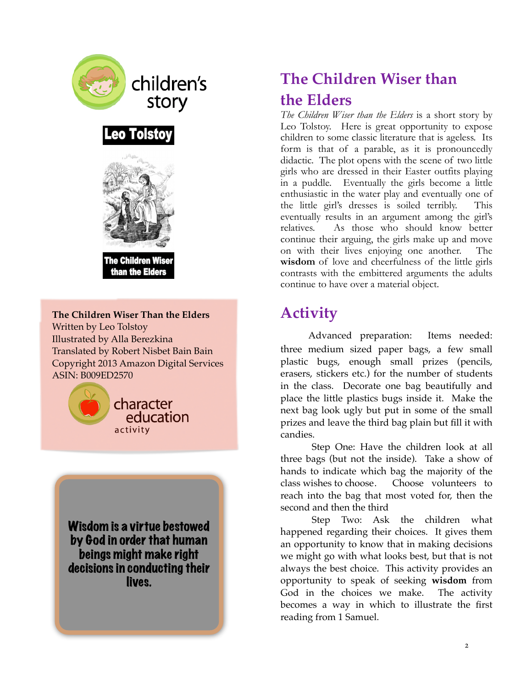

**The Children Wiser Than the Elders** Written by Leo Tolstoy Illustrated by Alla Berezkina Translated by Robert Nisbet Bain Bain Copyright 2013 Amazon Digital Services ASIN: B009ED2570



Wisdom is a virtue bestowed by God in order that human beings might make right decisions in conducting their lives.

# **The Children Wiser than the Elders**

*The Children Wiser than the Elders* is a short story by Leo Tolstoy. Here is great opportunity to expose children to some classic literature that is ageless. Its form is that of a parable, as it is pronouncedly didactic. The plot opens with the scene of two little girls who are dressed in their Easter outfits playing in a puddle. Eventually the girls become a little enthusiastic in the water play and eventually one of the little girl's dresses is soiled terribly. This eventually results in an argument among the girl's relatives. As those who should know better continue their arguing, the girls make up and move on with their lives enjoying one another. The **wisdom** of love and cheerfulness of the little girls contrasts with the embittered arguments the adults continue to have over a material object.

# **Activity**

Advanced preparation: Items needed: three medium sized paper bags, a few small plastic bugs, enough small prizes (pencils, erasers, stickers etc.) for the number of students in the class. Decorate one bag beautifully and place the little plastics bugs inside it. Make the next bag look ugly but put in some of the small prizes and leave the third bag plain but fill it with candies.

Step One: Have the children look at all three bags (but not the inside). Take a show of hands to indicate which bag the majority of the class wishes to choose. Choose volunteers to reach into the bag that most voted for, then the second and then the third

Step Two: Ask the children what happened regarding their choices. It gives them an opportunity to know that in making decisions we might go with what looks best, but that is not always the best choice. This activity provides an opportunity to speak of seeking **wisdom** from God in the choices we make. The activity becomes a way in which to illustrate the first reading from 1 Samuel.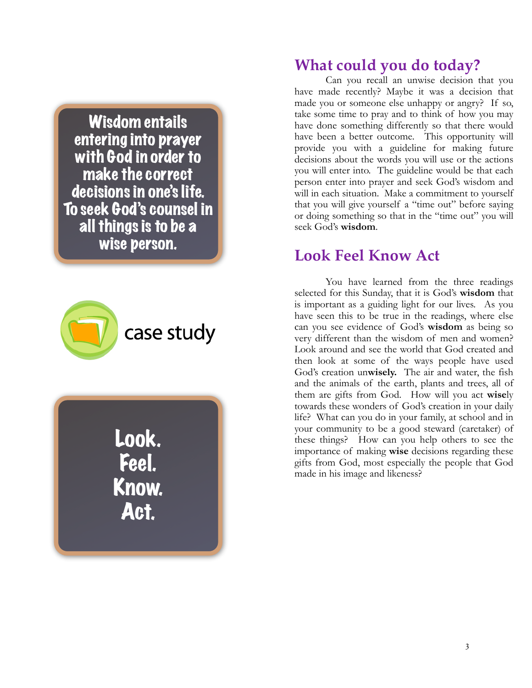Wisdom entails entering into prayer with God in order to make the correct decisions in one's life. To seek God's counsel in all things is to be a wise person.



Look. Feel. Know. Act.

### **What could you do today?**

Can you recall an unwise decision that you have made recently? Maybe it was a decision that made you or someone else unhappy or angry? If so, take some time to pray and to think of how you may have done something differently so that there would have been a better outcome. This opportunity will provide you with a guideline for making future decisions about the words you will use or the actions you will enter into. The guideline would be that each person enter into prayer and seek God's wisdom and will in each situation. Make a commitment to yourself that you will give yourself a "time out" before saying or doing something so that in the "time out" you will seek God's **wisdom**.

## **Look Feel Know Act**

 You have learned from the three readings selected for this Sunday, that it is God's **wisdom** that is important as a guiding light for our lives. As you have seen this to be true in the readings, where else can you see evidence of God's **wisdom** as being so very different than the wisdom of men and women? Look around and see the world that God created and then look at some of the ways people have used God's creation un**wisely.** The air and water, the fish and the animals of the earth, plants and trees, all of them are gifts from God. How will you act **wise**ly towards these wonders of God's creation in your daily life? What can you do in your family, at school and in your community to be a good steward (caretaker) of these things? How can you help others to see the importance of making **wise** decisions regarding these gifts from God, most especially the people that God made in his image and likeness?